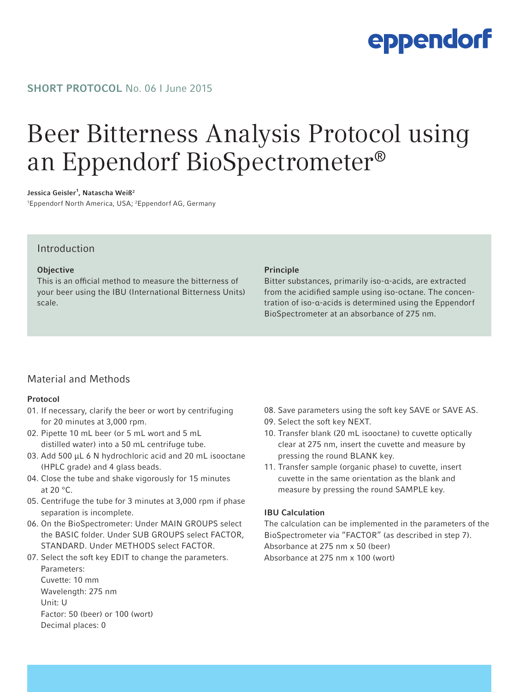# eppendorf

## SHORT PROTOCOL No. 06 | June 2015

# Beer Bitterness Analysis Protocol using an Eppendorf BioSpectrometer®

Jessica Geisler<sup>1</sup>, Natascha Weiß<sup>2</sup>

1 Eppendorf North America, USA; 2 Eppendorf AG, Germany

## Introduction

#### **Objective**

This is an official method to measure the bitterness of your beer using the IBU (International Bitterness Units) scale.

#### Principle

Bitter substances, primarily iso-α-acids, are extracted from the acidified sample using iso-octane. The concentration of iso-α-acids is determined using the Eppendorf BioSpectrometer at an absorbance of 275 nm.

## Material and Methods

### Protocol

- 01. If necessary, clarify the beer or wort by centrifuging for 20 minutes at 3,000 rpm.
- 02. Pipette 10 mL beer (or 5 mL wort and 5 mL distilled water) into a 50 mL centrifuge tube.
- 03. Add 500 μL 6 N hydrochloric acid and 20 mL isooctane (HPLC grade) and 4 glass beads.
- 04. Close the tube and shake vigorously for 15 minutes at 20 °C.
- 05. Centrifuge the tube for 3 minutes at 3,000 rpm if phase separation is incomplete.
- 06. On the BioSpectrometer: Under MAIN GROUPS select the BASIC folder. Under SUB GROUPS select FACTOR, STANDARD. Under METHODS select FACTOR.
- 07. Select the soft key EDIT to change the parameters. Parameters:

Cuvette: 10 mm Wavelength: 275 nm Unit: U Factor: 50 (beer) or 100 (wort) Decimal places: 0

- 08. Save parameters using the soft key SAVE or SAVE AS.
- 09. Select the soft key NEXT.
- 10. Transfer blank (20 mL isooctane) to cuvette optically clear at 275 nm, insert the cuvette and measure by pressing the round BLANK key.
- 11. Transfer sample (organic phase) to cuvette, insert cuvette in the same orientation as the blank and measure by pressing the round SAMPLE key.

### IBU Calculation

The calculation can be implemented in the parameters of the BioSpectrometer via "FACTOR" (as described in step 7). Absorbance at 275 nm x 50 (beer) Absorbance at 275 nm x 100 (wort)